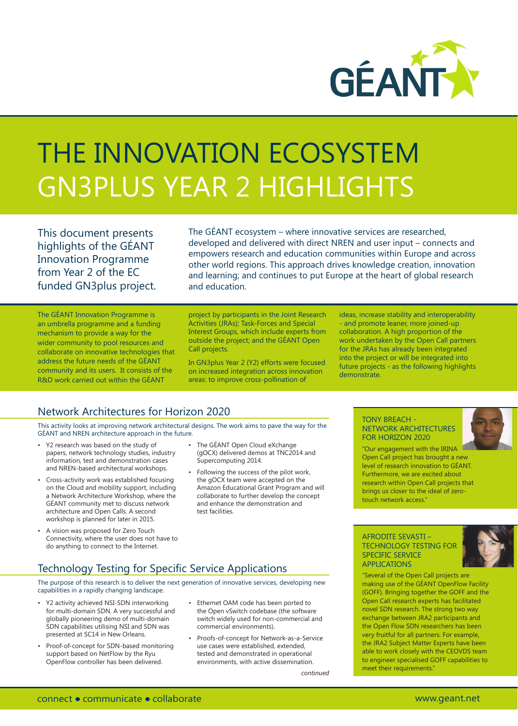

# THE INNOVATION ECOSYSTEM GN3PLUS YEAR 2 HIGHLIGHTS

This document presents highlights of the GÉANT Innovation Programme from Year 2 of the EC funded GN3plus project. The GÉANT ecosystem – where innovative services are researched, developed and delivered with direct NREN and user input – connects and empowers research and education communities within Europe and across other world regions. This approach drives knowledge creation, innovation and learning; and continues to put Europe at the heart of global research and education.

The GÉANT Innovation Programme is an umbrella programme and a funding mechanism to provide a way for the wider community to pool resources and collaborate on innovative technologies that address the future needs of the GÉANT community and its users. It consists of the R&D work carried out within the GÉANT

project by participants in the Joint Research Activities (JRAs); Task-Forces and Special Interest Groups, which include experts from outside the project; and the GÉANT Open Call projects.

In GN3plus Year 2 (Y2) efforts were focused on increased integration across innovation areas: to improve cross-pollination of

ideas, increase stability and interoperability - and promote leaner, more joined-up collaboration. A high proportion of the work undertaken by the Open Call partners for the JRAs has already been integrated into the project or will be integrated into future projects - as the following highlights demonstrate.

# Network Architectures for Horizon 2020

This activity looks at improving network architectural designs. The work aims to pave the way for the GÉANT and NREN architecture approach in the future.

- Y2 research was based on the study of papers, network technology studies, industry information, test and demonstration cases and NREN-based architectural workshops.
- Cross-activity work was established focusing on the Cloud and mobility support, including a Network Architecture Workshop, where the GÉANT community met to discuss network architecture and Open Calls. A second workshop is planned for later in 2015.
- A vision was proposed for Zero Touch Connectivity, where the user does not have to do anything to connect to the Internet.
- The GÉANT Open Cloud eXchange (gOCX) delivered demos at TNC2014 and Supercomputing 2014.
- Following the success of the pilot work, the gOCX team were accepted on the Amazon Educational Grant Program and will collaborate to further develop the concept and enhance the demonstration and test facilities.

# TONY BREACH - NETWORK ARCHITECTURES FOR HORIZON 2020



"Our engagement with the IRINA Open Call project has brought a new level of research innovation to GÉANT. Furthermore, we are excited about research within Open Call projects that brings us closer to the ideal of zerotouch network access."

# AFRODITE SEVASTI – TECHNOLOGY TESTING FOR SPECIFIC SERVICE APPLICATIONS



"Several of the Open Call projects are making use of the GÉANT OpenFlow Facility (GOFF). Bringing together the GOFF and the Open Call research experts has facilitated novel SDN research. The strong two way exchange between JRA2 participants and the Open Flow SDN researchers has been very fruitful for all partners. For example, the JRA2 Subject Matter Experts have been able to work closely with the CEOVDS team to engineer specialised GOFF capabilities to meet their requirements."

*continued*

# Technology Testing for Specific Service Applications

The purpose of this research is to deliver the next generation of innovative services, developing new capabilities in a rapidly changing landscape.

- Y2 activity achieved NSI-SDN interworking for multi-domain SDN. A very successful and globally pioneering demo of multi-domain SDN capabilities utilising NSI and SDN was presented at SC14 in New Orleans.
- Proof-of-concept for SDN-based monitoring support based on NetFlow by the Ryu OpenFlow controller has been delivered.
- Ethernet OAM code has been ported to the Open vSwitch codebase (the software switch widely used for non-commercial and commercial environments).
- Proofs-of-concept for Network-as-a-Service use cases were established, extended, tested and demonstrated in operational environments, with active dissemination.